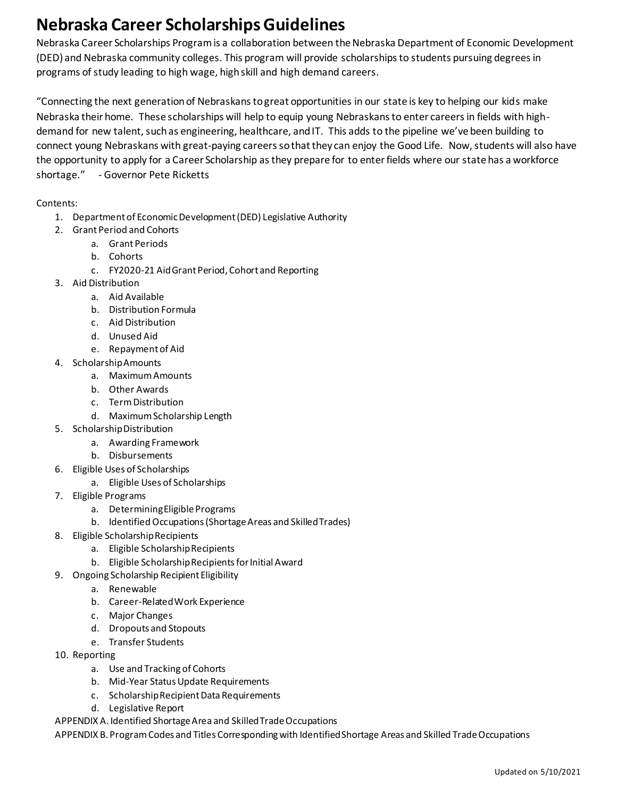# **Nebraska Career Scholarships Guidelines**

Nebraska Career Scholarships Program is a collaboration between the Nebraska Department of Economic Development (DED) and Nebraska community colleges. This program will provide scholarships to students pursuing degrees in programs of study leading to high wage, high skill and high demand careers.

"Connecting the next generation of Nebraskans to great opportunities in our state is key to helping our kids make Nebraska their home. These scholarships will help to equip young Nebraskans to enter careers in fields with highdemand for new talent, such as engineering, healthcare, and IT. This adds to the pipeline we've been building to connect young Nebraskans with great-paying careers so that they can enjoy the Good Life. Now, students will also have the opportunity to apply for a Career Scholarship as they prepare for to enter fields where our state has a workforce shortage." - Governor Pete Ricketts

#### Contents:

- 1. Department of Economic Development (DED) Legislative Authority
- 2. Grant Period and Cohorts
	- a. Grant Periods
	- b. Cohorts
	- c. FY2020-21 Aid Grant Period, Cohort and Reporting
- 3. Aid Distribution
	- a. Aid Available
	- b. Distribution Formula
	- c. Aid Distribution
	- d. Unused Aid
	- e. Repayment of Aid
- 4. Scholarship Amounts
	- a. Maximum Amounts
	- b. Other Awards
	- c. Term Distribution
	- d. Maximum Scholarship Length
- 5. Scholarship Distribution
	- a. Awarding Framework
	- b. Disbursements
- 6. Eligible Uses of Scholarships
	- a. Eligible Uses of Scholarships
- 7. Eligible Programs
	- a. Determining Eligible Programs
	- b. Identified Occupations (Shortage Areas and Skilled Trades)
- 8. Eligible Scholarship Recipients
	- a. Eligible Scholarship Recipients
	- b. Eligible Scholarship Recipients for Initial Award
- 9. Ongoing Scholarship Recipient Eligibility
	- a. Renewable
	- b. Career-Related Work Experience
	- c. Major Changes
	- d. Dropouts and Stopouts
	- e. Transfer Students
- 10. Reporting
	- a. Use and Tracking of Cohorts
	- b. Mid-Year Status Update Requirements
	- c. Scholarship Recipient Data Requirements
	- d. Legislative Report

APPENDIX A. Identified Shortage Area and Skilled Trade Occupations

APPENDIX B. Program Codes and Titles Corresponding with Identified Shortage Areas and Skilled Trade Occupations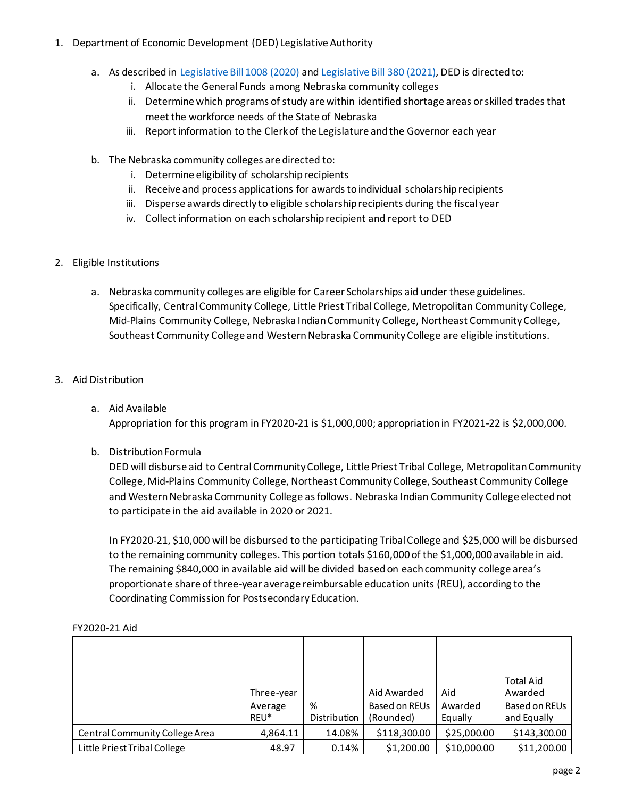- 1. Department of Economic Development (DED) Legislative Authority
	- a. As described in [Legislative Bill 1008 \(2020\)](https://nebraskalegislature.gov/FloorDocs/106/PDF/Final/LB1008.pdf) an[d Legislative Bill 380](https://nebraskalegislature.gov/FloorDocs/106/PDF/Final/LB1008.pdf) (2021), DED is directed to:
		- i. Allocate the General Funds among Nebraska community colleges
		- ii. Determine which programs of study are within identified shortage areas or skilled trades that meet the workforce needs of the State of Nebraska
		- iii. Report information to the Clerk of the Legislature and the Governor each year
	- b. The Nebraska community colleges are directed to:
		- i. Determine eligibility of scholarship recipients
		- ii. Receive and process applications for awards to individual scholarship recipients
		- iii. Disperse awards directly to eligible scholarship recipients during the fiscal year
		- iv. Collect information on each scholarship recipient and report to DED
- 2. Eligible Institutions
	- a. Nebraska community colleges are eligible for Career Scholarships aid under these guidelines. Specifically, Central Community College, Little Priest Tribal College, Metropolitan Community College, Mid-Plains Community College, Nebraska Indian Community College, Northeast Community College, Southeast Community College and Western Nebraska Community College are eligible institutions.
- 3. Aid Distribution
	- a. Aid Available Appropriation for this program in FY2020-21 is \$1,000,000; appropriation in FY2021-22 is \$2,000,000.
	- b. Distribution Formula

DED will disburse aid to Central Community College, Little Priest Tribal College, Metropolitan Community College, Mid-Plains Community College, Northeast Community College, Southeast Community College and Western Nebraska Community College as follows. Nebraska Indian Community College elected not to participate in the aid available in 2020 or 2021.

In FY2020-21, \$10,000 will be disbursed to the participating Tribal College and \$25,000 will be disbursed to the remaining community colleges. This portion totals \$160,000 of the \$1,000,000 available in aid. The remaining \$840,000 in available aid will be divided based on each community college area's proportionate share of three-year average reimbursable education units (REU), according to the Coordinating Commission for Postsecondary Education.

|                                | Three-year<br>Average<br>REU* | %<br>Distribution | Aid Awarded<br>Based on REUs<br>(Rounded) | Aid<br>Awarded<br>Equally | <b>Total Aid</b><br>Awarded<br>Based on REUs<br>and Equally |
|--------------------------------|-------------------------------|-------------------|-------------------------------------------|---------------------------|-------------------------------------------------------------|
| Central Community College Area | 4,864.11                      | 14.08%            | \$118,300.00                              | \$25,000.00               | \$143,300.00                                                |
| Little Priest Tribal College   | 48.97                         | 0.14%             | \$1,200.00                                | \$10,000.00               | \$11,200.00                                                 |

#### FY2020-21 Aid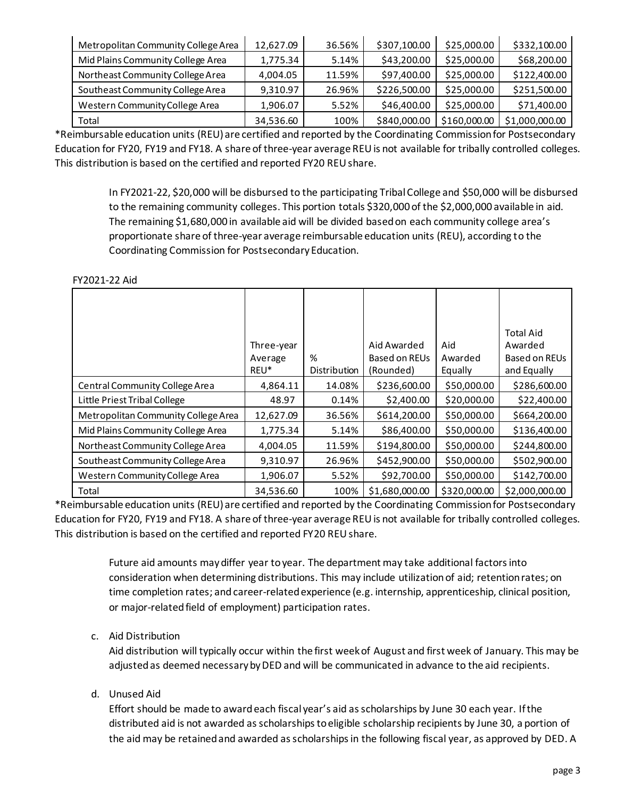| Metropolitan Community College Area | 12,627.09 | 36.56% | \$307,100.00 | \$25,000.00  | \$332,100.00   |
|-------------------------------------|-----------|--------|--------------|--------------|----------------|
| Mid Plains Community College Area   | 1,775.34  | 5.14%  | \$43,200.00  | \$25,000.00  | \$68,200.00    |
| Northeast Community College Area    | 4,004.05  | 11.59% | \$97,400.00  | \$25,000.00  | \$122,400.00   |
| Southeast Community College Area    | 9.310.97  | 26.96% | \$226,500.00 | \$25,000.00  | \$251,500.00   |
| Western Community College Area      | 1,906.07  | 5.52%  | \$46,400.00  | \$25,000.00  | \$71,400.00    |
| Total                               | 34,536.60 | 100%   | \$840,000.00 | \$160,000.00 | \$1,000,000.00 |

\*Reimbursable education units (REU) are certified and reported by the Coordinating Commission for Postsecondary Education for FY20, FY19 and FY18. A share of three-year average REU is not available for tribally controlled colleges. This distribution is based on the certified and reported FY20 REU share.

> In FY2021-22, \$20,000 will be disbursed to the participating Tribal College and \$50,000 will be disbursed to the remaining community colleges. This portion totals \$320,000 of the \$2,000,000 available in aid. The remaining \$1,680,000 in available aid will be divided based on each community college area's proportionate share of three-year average reimbursable education units (REU), according to the Coordinating Commission for Postsecondary Education.

FY2021-22 Aid

|                                     | Three-year<br>Average<br>REU* | %<br><b>Distribution</b> | Aid Awarded<br><b>Based on REUs</b><br>(Rounded) | Aid<br>Awarded<br>Equally | <b>Total Aid</b><br>Awarded<br>Based on REUs<br>and Equally |
|-------------------------------------|-------------------------------|--------------------------|--------------------------------------------------|---------------------------|-------------------------------------------------------------|
| Central Community College Area      | 4,864.11                      | 14.08%                   | \$236,600.00                                     | \$50,000.00               | \$286,600.00                                                |
| Little Priest Tribal College        | 48.97                         | 0.14%                    | \$2,400.00                                       | \$20,000.00               | \$22,400.00                                                 |
| Metropolitan Community College Area | 12,627.09                     | 36.56%                   | \$614,200.00                                     | \$50,000.00               | \$664,200.00                                                |
| Mid Plains Community College Area   | 1,775.34                      | 5.14%                    | \$86,400.00                                      | \$50,000.00               | \$136,400.00                                                |
| Northeast Community College Area    | 4,004.05                      | 11.59%                   | \$194,800.00                                     | \$50,000.00               | \$244,800.00                                                |
| Southeast Community College Area    | 9,310.97                      | 26.96%                   | \$452,900.00                                     | \$50,000.00               | \$502,900.00                                                |
| Western Community College Area      | 1,906.07                      | 5.52%                    | \$92,700.00                                      | \$50,000.00               | \$142,700.00                                                |
| Total                               | 34,536.60                     | 100%                     | \$1,680,000.00                                   | \$320,000.00              | \$2,000,000.00                                              |

\*Reimbursable education units (REU) are certified and reported by the Coordinating Commission for Postsecondary Education for FY20, FY19 and FY18. A share of three-year average REU is not available for tribally controlled colleges. This distribution is based on the certified and reported FY20 REU share.

> Future aid amounts may differ year to year. The department may take additional factors into consideration when determining distributions. This may include utilization of aid; retention rates; on time completion rates; and career-related experience (e.g. internship, apprenticeship, clinical position, or major-related field of employment) participation rates.

c. Aid Distribution

Aid distribution will typically occur within the first week of August and first week of January. This may be adjusted as deemed necessary by DED and will be communicated in advance to the aid recipients.

d. Unused Aid

Effort should be made to award each fiscal year's aid as scholarships by June 30 each year. If the distributed aid is not awarded as scholarships to eligible scholarship recipients by June 30, a portion of the aid may be retained and awarded as scholarships in the following fiscal year, as approved by DED. A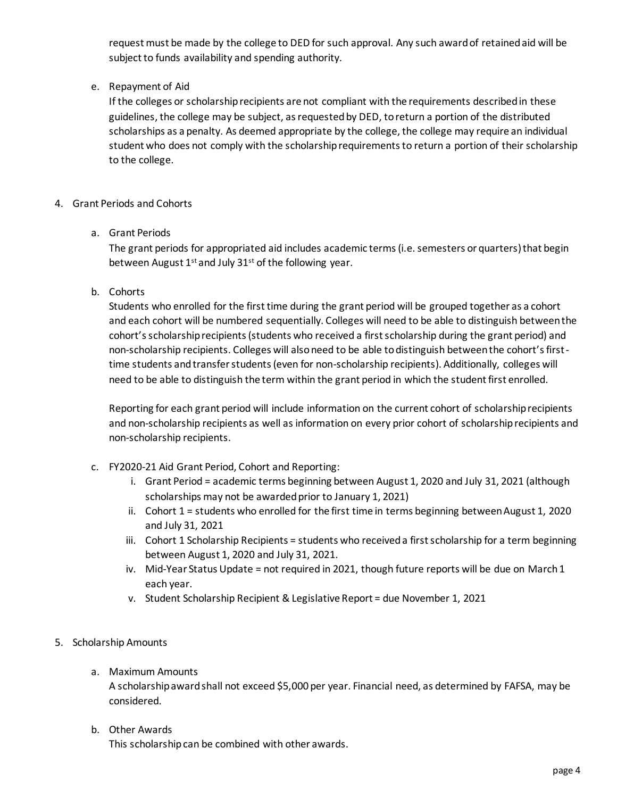request must be made by the college to DED for such approval. Any such award of retained aid will be subject to funds availability and spending authority.

## e. Repayment of Aid

If the colleges or scholarship recipients are not compliant with the requirements described in these guidelines, the college may be subject, as requested by DED, to return a portion of the distributed scholarships as a penalty. As deemed appropriate by the college, the college may require an individual student who does not comply with the scholarship requirements to return a portion of their scholarship to the college.

#### 4. Grant Periods and Cohorts

#### a. Grant Periods

The grant periods for appropriated aid includes academic terms (i.e. semesters or quarters) that begin between August  $1^{st}$  and July 31st of the following year.

#### b. Cohorts

Students who enrolled for the first time during the grant period will be grouped together as a cohort and each cohort will be numbered sequentially. Colleges will need to be able to distinguish between the cohort's scholarship recipients (students who received a first scholarship during the grant period) and non-scholarship recipients. Colleges will also need to be able to distinguish between the cohort's firsttime students and transfer students (even for non-scholarship recipients). Additionally, colleges will need to be able to distinguish the term within the grant period in which the student first enrolled.

Reporting for each grant period will include information on the current cohort of scholarship recipients and non-scholarship recipients as well as information on every prior cohort of scholarship recipients and non-scholarship recipients.

- c. FY2020-21 Aid Grant Period, Cohort and Reporting:
	- i. Grant Period = academic terms beginning between August 1, 2020 and July 31, 2021 (although scholarships may not be awarded prior to January 1, 2021)
	- ii. Cohort 1 = students who enrolled for the first time in terms beginning between August 1, 2020 and July 31, 2021
	- iii. Cohort 1 Scholarship Recipients = students who received a first scholarship for a term beginning between August 1, 2020 and July 31, 2021.
	- iv. Mid-Year Status Update = not required in 2021, though future reports will be due on March 1 each year.
	- v. Student Scholarship Recipient & Legislative Report = due November 1, 2021
- 5. Scholarship Amounts
	- a. Maximum Amounts

A scholarship award shall not exceed \$5,000 per year. Financial need, as determined by FAFSA, may be considered.

# b. Other Awards

This scholarship can be combined with other awards.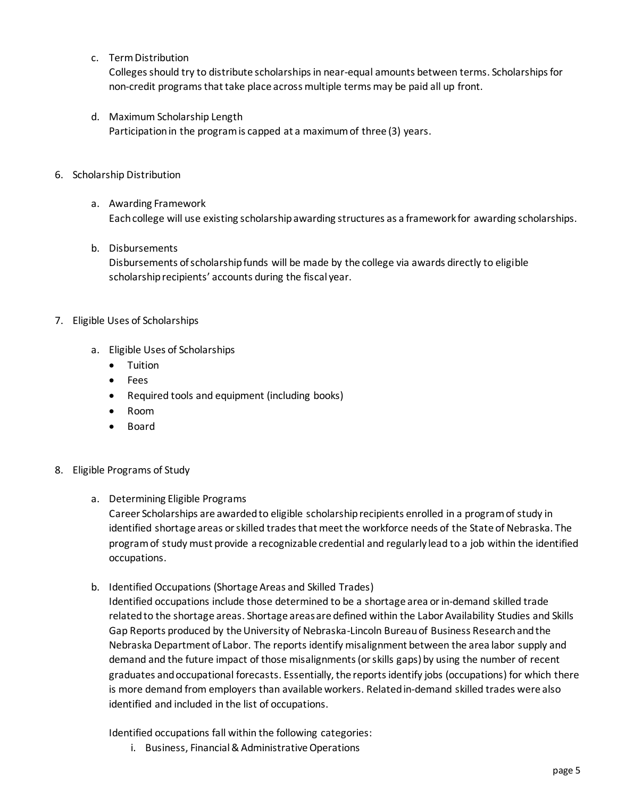c. Term Distribution

Colleges should try to distribute scholarships in near-equal amounts between terms. Scholarships for non-credit programs that take place across multiple terms may be paid all up front.

- d. Maximum Scholarship Length Participation in the program is capped at a maximum of three (3) years.
- 6. Scholarship Distribution
	- a. Awarding Framework Each college will use existing scholarship awarding structures as a framework for awarding scholarships.
	- b. Disbursements

Disbursements of scholarship funds will be made by the college via awards directly to eligible scholarship recipients' accounts during the fiscal year.

- 7. Eligible Uses of Scholarships
	- a. Eligible Uses of Scholarships
		- Tuition
		- Fees
		- Required tools and equipment (including books)
		- Room
		- Board
- 8. Eligible Programs of Study
	- a. Determining Eligible Programs

Career Scholarships are awarded to eligible scholarship recipients enrolled in a program of study in identified shortage areas or skilled trades that meet the workforce needs of the State of Nebraska. The program of study must provide a recognizable credential and regularly lead to a job within the identified occupations.

b. Identified Occupations (Shortage Areas and Skilled Trades)

Identified occupations include those determined to be a shortage area or in-demand skilled trade related to the shortage areas. Shortage areas are defined within the Labor Availability Studies and Skills Gap Reports produced by the University of Nebraska-Lincoln Bureau of Business Research and the Nebraska Department of Labor. The reports identify misalignment between the area labor supply and demand and the future impact of those misalignments (or skills gaps) by using the number of recent graduates and occupational forecasts. Essentially, the reports identify jobs (occupations) for which there is more demand from employers than available workers. Related in-demand skilled trades were also identified and included in the list of occupations.

Identified occupations fall within the following categories:

i. Business, Financial & Administrative Operations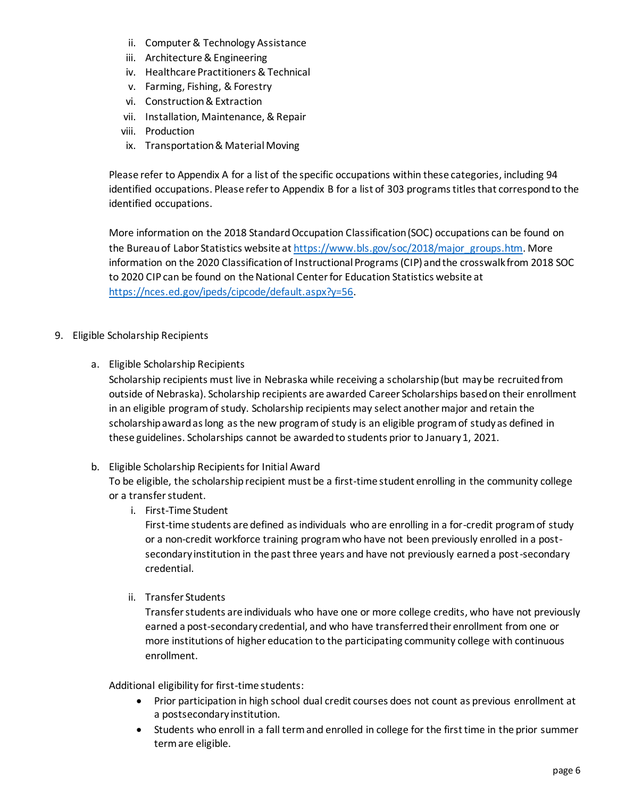- ii. Computer & Technology Assistance
- iii. Architecture & Engineering
- iv. Healthcare Practitioners & Technical
- v. Farming, Fishing, & Forestry
- vi. Construction & Extraction
- vii. Installation, Maintenance, & Repair
- viii. Production
- ix. Transportation & Material Moving

Please refer to Appendix A for a list of the specific occupations within these categories, including 94 identified occupations. Please refer to Appendix B for a list of 303 programs titles that correspond to the identified occupations.

More information on the 2018 Standard Occupation Classification (SOC) occupations can be found on the Bureau of Labor Statistics website a[t https://www.bls.gov/soc/2018/major\\_groups.htm](https://www.bls.gov/soc/2018/major_groups.htm). More information on the 2020 Classification of Instructional Programs (CIP) and the crosswalk from 2018 SOC to 2020 CIP can be found on the National Center for Education Statistics website at [https://nces.ed.gov/ipeds/cipcode/default.aspx?y=56.](https://nces.ed.gov/ipeds/cipcode/default.aspx?y=56)

- 9. Eligible Scholarship Recipients
	- a. Eligible Scholarship Recipients

Scholarship recipients must live in Nebraska while receiving a scholarship (but may be recruited from outside of Nebraska). Scholarship recipients are awarded Career Scholarships based on their enrollment in an eligible program of study. Scholarship recipients may select another major and retain the scholarship award as long as the new program of study is an eligible programof study as defined in these guidelines. Scholarships cannot be awarded to students prior to January 1, 2021.

b. Eligible Scholarship Recipients for Initial Award

To be eligible, the scholarship recipient must be a first-time student enrolling in the community college or a transfer student.

i. First-Time Student

First-time students are defined as individuals who are enrolling in a for-credit program of study or a non-credit workforce training program who have not been previously enrolled in a postsecondary institution in the past three years and have not previously earned a post-secondary credential.

ii. Transfer Students

Transfer students are individuals who have one or more college credits, who have not previously earned a post-secondary credential, and who have transferred their enrollment from one or more institutions of higher education to the participating community college with continuous enrollment.

Additional eligibility for first-time students:

- Prior participation in high school dual credit courses does not count as previous enrollment at a postsecondary institution.
- Students who enroll in a fall term and enrolled in college for the first time in the prior summer term are eligible.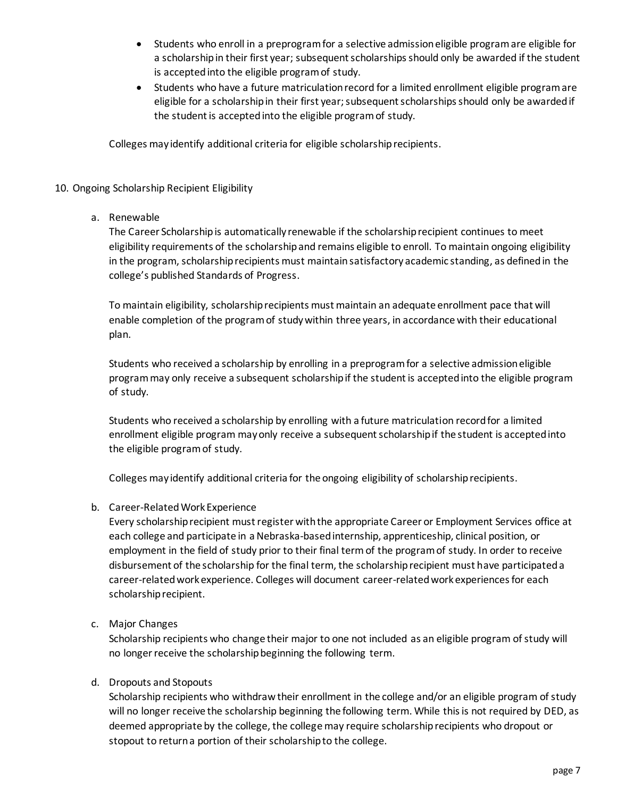- Students who enroll in a preprogram for a selective admission eligible program are eligible for a scholarship in their first year; subsequent scholarships should only be awarded if the student is accepted into the eligible program of study.
- Students who have a future matriculation record for a limited enrollment eligible program are eligible for a scholarship in their first year; subsequent scholarships should only be awarded if the student is accepted into the eligible program of study.

Colleges may identify additional criteria for eligible scholarship recipients.

#### 10. Ongoing Scholarship Recipient Eligibility

a. Renewable

The Career Scholarship is automatically renewable if the scholarship recipient continues to meet eligibility requirements of the scholarship and remains eligible to enroll. To maintain ongoing eligibility in the program, scholarship recipients must maintain satisfactory academic standing, as defined in the college's published Standards of Progress.

To maintain eligibility, scholarship recipients must maintain an adequate enrollment pace that will enable completion of the program of study within three years, in accordance with their educational plan.

Students who received a scholarship by enrolling in a preprogram for a selective admission eligible program may only receive a subsequent scholarship if the student is accepted into the eligible program of study.

Students who received a scholarship by enrolling with a future matriculation record for a limited enrollment eligible program may only receive a subsequent scholarship if the student is accepted into the eligible program of study.

Colleges may identify additional criteria for the ongoing eligibility of scholarship recipients.

#### b. Career-Related Work Experience

Every scholarship recipient must register with the appropriate Career or Employment Services office at each college and participate in a Nebraska-based internship, apprenticeship, clinical position, or employment in the field of study prior to their final termof the program of study. In order to receive disbursement of the scholarship for the final term, the scholarship recipient must have participated a career-related work experience. Colleges will document career-related work experiences for each scholarship recipient.

c. Major Changes

Scholarship recipients who change their major to one not included as an eligible program of study will no longer receive the scholarship beginning the following term.

#### d. Dropouts and Stopouts

Scholarship recipients who withdraw their enrollment in the college and/or an eligible program of study will no longer receive the scholarship beginning the following term. While this is not required by DED, as deemed appropriate by the college, the college may require scholarship recipients who dropout or stopout to return a portion of their scholarship to the college.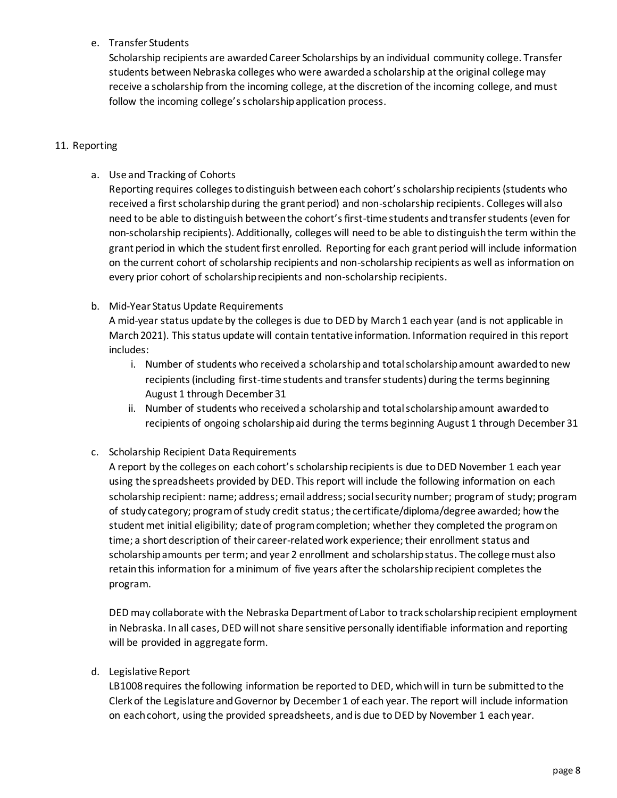## e. Transfer Students

Scholarship recipients are awarded Career Scholarships by an individual community college. Transfer students between Nebraska colleges who were awarded a scholarship at the original college may receive a scholarship from the incoming college, at the discretion of the incoming college, and must follow the incoming college's scholarship application process.

#### 11. Reporting

a. Use and Tracking of Cohorts

Reporting requires colleges to distinguish between each cohort's scholarship recipients (students who received a first scholarship during the grant period) and non-scholarship recipients. Colleges will also need to be able to distinguish between the cohort's first-time students and transfer students (even for non-scholarship recipients). Additionally, colleges will need to be able to distinguish the term within the grant period in which the student first enrolled. Reporting for each grant period will include information on the current cohort of scholarship recipients and non-scholarship recipients as well as information on every prior cohort of scholarship recipients and non-scholarship recipients.

#### b. Mid-Year Status Update Requirements

A mid-year status update by the colleges is due to DED by March 1 each year (and is not applicable in March 2021). This status update will contain tentative information. Information required in this report includes:

- i. Number of students who received a scholarship and total scholarship amount awarded to new recipients (including first-time students and transfer students) during the terms beginning August 1 through December 31
- ii. Number of students who received a scholarshipand total scholarship amount awarded to recipients of ongoing scholarship aid during the terms beginning August 1 through December 31
- c. Scholarship Recipient Data Requirements

A report by the colleges on each cohort'sscholarship recipients is due to DED November 1 each year using the spreadsheets provided by DED. This report will include the following information on each scholarship recipient: name; address; email address; social security number; program of study; program of study category; program of study credit status;the certificate/diploma/degree awarded; how the student met initial eligibility; date of program completion; whether they completed the program on time; a short description of their career-related work experience; their enrollment status and scholarship amounts per term; and year 2 enrollment and scholarship status. The college must also retain this information for a minimum of five years after the scholarship recipient completes the program.

DED may collaborate with the Nebraska Department of Labor to track scholarship recipient employment in Nebraska. In all cases, DED will not share sensitive personally identifiable information and reporting will be provided in aggregate form.

#### d. Legislative Report

LB1008 requires the following information be reported to DED, which will in turn be submitted to the Clerk of the Legislature and Governor by December 1 of each year. The report will include information on each cohort, using the provided spreadsheets, and is due to DED by November 1 each year.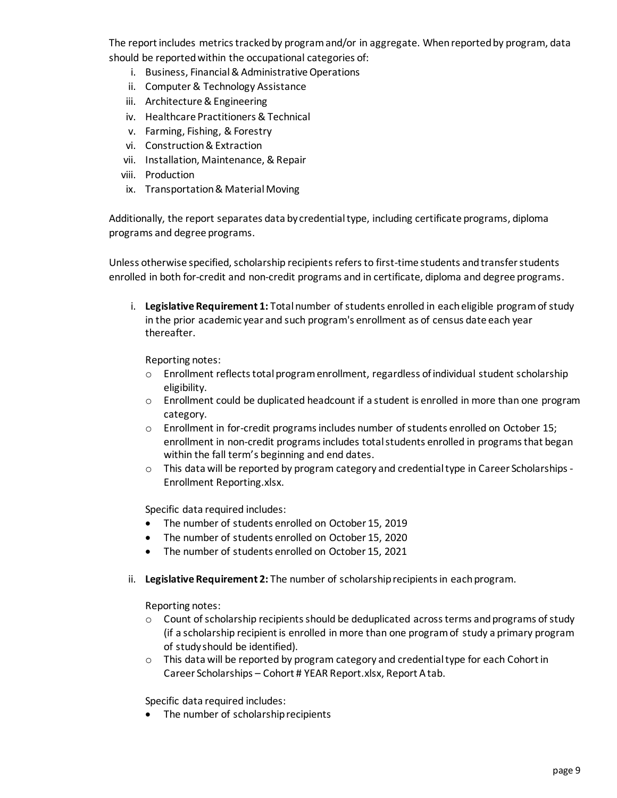The report includes metrics tracked by program and/or in aggregate. When reported by program, data should be reported within the occupational categories of:

- i. Business, Financial & Administrative Operations
- ii. Computer& Technology Assistance
- iii. Architecture & Engineering
- iv. Healthcare Practitioners & Technical
- v. Farming, Fishing, & Forestry
- vi. Construction & Extraction
- vii. Installation, Maintenance, & Repair
- viii. Production
- ix. Transportation & Material Moving

Additionally, the report separates data by credential type, including certificate programs, diploma programs and degree programs.

Unless otherwise specified, scholarship recipients refers to first-time students and transfer students enrolled in both for-credit and non-credit programs and in certificate, diploma and degree programs.

i. **Legislative Requirement 1:** Total number of students enrolled in each eligible program of study in the prior academic year and such program's enrollment as of census date each year thereafter.

Reporting notes:

- $\circ$  Enrollment reflects total program enrollment, regardless of individual student scholarship eligibility.
- $\circ$  Enrollment could be duplicated headcount if a student is enrolled in more than one program category.
- $\circ$  Enrollment in for-credit programs includes number of students enrolled on October 15; enrollment in non-credit programs includes total students enrolled in programs that began within the fall term's beginning and end dates.
- o This data will be reported by program category and credential type in Career Scholarships Enrollment Reporting.xlsx.

Specific data required includes:

- The number of students enrolled on October 15, 2019
- The number of students enrolled on October 15, 2020
- The number of students enrolled on October 15, 2021
- ii. **Legislative Requirement 2:** The number of scholarship recipients in each program.

Reporting notes:

- $\circ$  Count of scholarship recipients should be deduplicated across terms and programs of study (if a scholarship recipient is enrolled in more than one program of study a primary program of study should be identified).
- $\circ$  This data will be reported by program category and credential type for each Cohort in Career Scholarships – Cohort # YEAR Report.xlsx, Report A tab.

Specific data required includes:

• The number of scholarship recipients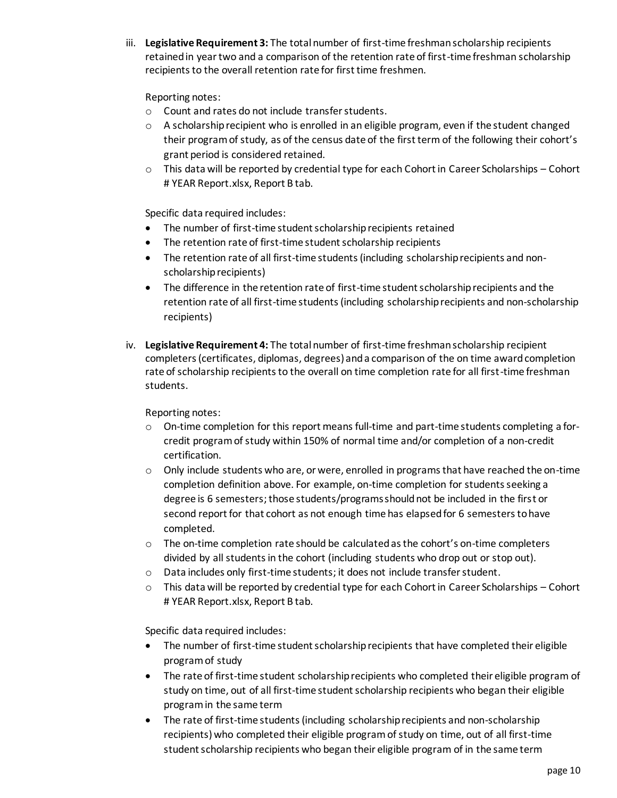iii. **Legislative Requirement 3:** The total number of first-time freshman scholarship recipients retained in year two and a comparison of the retention rate of first-time freshman scholarship recipients to the overall retention rate for first time freshmen.

## Reporting notes:

- o Count and rates do not include transfer students.
- $\circ$  A scholarship recipient who is enrolled in an eligible program, even if the student changed their program of study, as of the census date of the first term of the following their cohort's grant period is considered retained.
- $\circ$  This data will be reported by credential type for each Cohort in Career Scholarships Cohort # YEAR Report.xlsx, Report B tab.

Specific data required includes:

- The number of first-time student scholarship recipients retained
- The retention rate of first-time student scholarship recipients
- The retention rate of all first-time students (including scholarship recipients and nonscholarship recipients)
- The difference in the retention rate of first-time student scholarship recipients and the retention rate of all first-time students(including scholarship recipients and non-scholarship recipients)
- iv. **Legislative Requirement 4:** The total number of first-time freshman scholarship recipient completers (certificates, diplomas, degrees) and a comparison of the on time award completion rate of scholarship recipients to the overall on time completion rate for all first-time freshman students.

## Reporting notes:

- $\circ$  On-time completion for this report means full-time and part-time students completing a forcredit program of study within 150% of normal time and/or completion of a non-credit certification.
- $\circ$  Only include students who are, or were, enrolled in programs that have reached the on-time completion definition above. For example, on-time completion for students seeking a degree is 6 semesters; those students/programs should not be included in the first or second report for that cohort as not enough time has elapsed for 6 semesters to have completed.
- $\circ$  The on-time completion rate should be calculated as the cohort's on-time completers divided by all students in the cohort (including students who drop out or stop out).
- o Data includes only first-time students; it does not include transfer student.
- $\circ$  This data will be reported by credential type for each Cohort in Career Scholarships Cohort # YEAR Report.xlsx, Report B tab.

Specific data required includes:

- The number of first-time student scholarship recipients that have completed their eligible program of study
- The rate of first-time student scholarship recipients who completed their eligible program of study on time, out of all first-time student scholarship recipients who began their eligible program in the same term
- The rate of first-time students (including scholarship recipients and non-scholarship recipients) who completed their eligible programof study on time, out of all first-time student scholarship recipients who began their eligible program of in the same term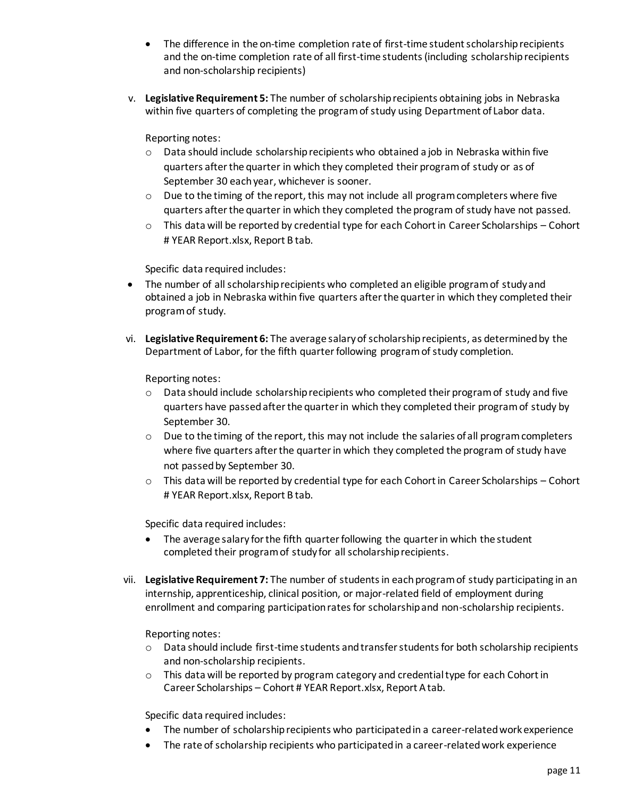- The difference in the on-time completion rate of first-time student scholarship recipients and the on-time completion rate of all first-time students (including scholarship recipients and non-scholarship recipients)
- v. **Legislative Requirement 5:** The number of scholarship recipients obtaining jobs in Nebraska within five quarters of completing the program of study using Department of Labor data.

Reporting notes:

- $\circ$  Data should include scholarship recipients who obtained a job in Nebraska within five quarters after the quarter in which they completed their program of study or as of September 30 each year, whichever is sooner.
- $\circ$  Due to the timing of the report, this may not include all program completers where five quarters after the quarter in which they completed the program of study have not passed.
- $\circ$  This data will be reported by credential type for each Cohort in Career Scholarships Cohort # YEAR Report.xlsx, Report B tab.

Specific data required includes:

- The number of all scholarship recipients who completed an eligible program of study and obtained a job in Nebraska within five quarters after the quarter in which they completed their program of study.
- vi. **Legislative Requirement 6:** The average salary of scholarship recipients, as determined by the Department of Labor, for the fifth quarter following program of study completion.

Reporting notes:

- $\circ$  Data should include scholarship recipients who completed their program of study and five quarters have passed after the quarter in which they completed their program of study by September 30.
- $\circ$  Due to the timing of the report, this may not include the salaries of all program completers where five quarters after the quarter in which they completed the program of study have not passed by September 30.
- $\circ$  This data will be reported by credential type for each Cohort in Career Scholarships Cohort # YEAR Report.xlsx, Report B tab.

Specific data required includes:

- The average salary for the fifth quarter following the quarter in which the student completed their program of study for all scholarship recipients.
- vii. **Legislative Requirement 7:** The number of students in each program of study participating in an internship, apprenticeship, clinical position, or major-related field of employment during enrollment and comparing participation rates for scholarship and non-scholarship recipients.

Reporting notes:

- o Data should include first-time students and transfer students for both scholarship recipients and non-scholarship recipients.
- o This data will be reported by program category and credential type for each Cohort in Career Scholarships – Cohort # YEAR Report.xlsx, Report A tab.

Specific data required includes:

- The number of scholarship recipients who participated in a career-related work experience
- The rate of scholarship recipients who participated in a career-related work experience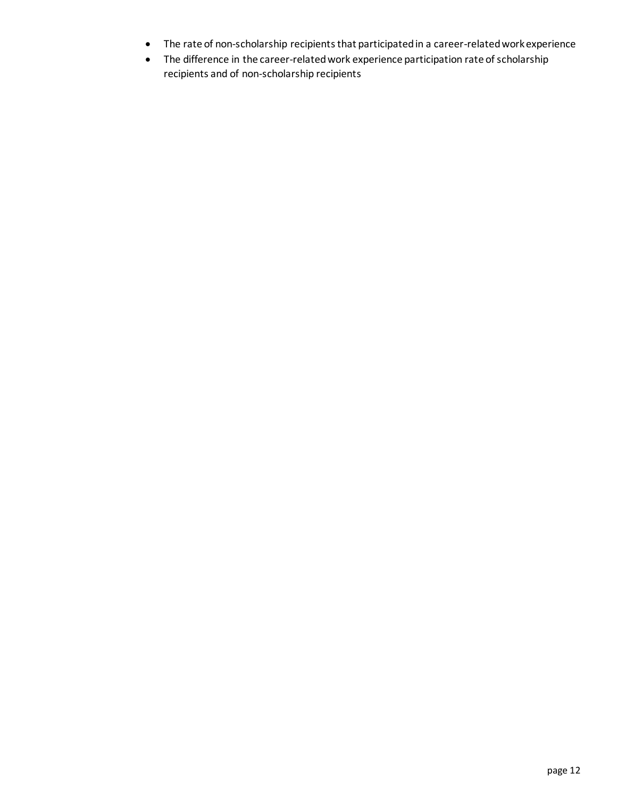- The rate of non-scholarship recipients that participated in a career-related work experience
- The difference in the career-related work experience participation rate of scholarship recipients and of non-scholarship recipients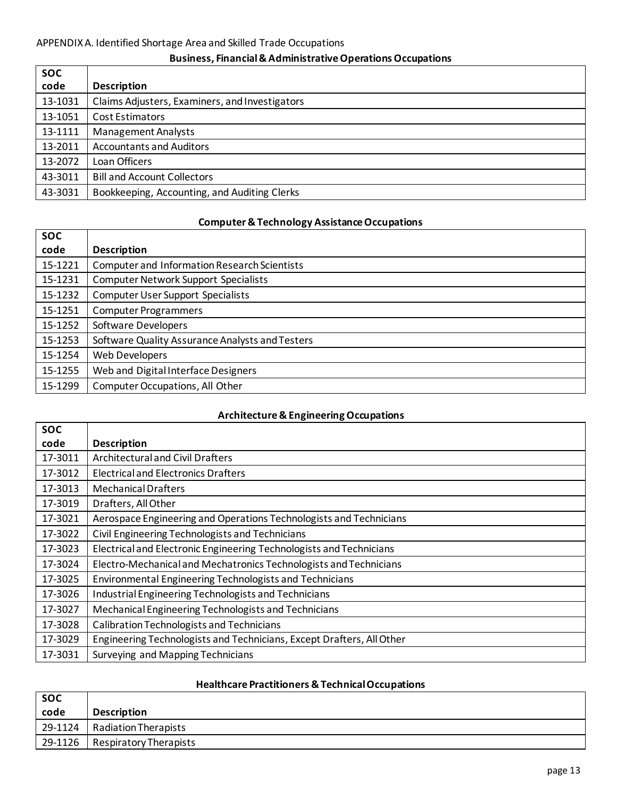# **Business, Financial & Administrative Operations Occupations**

| <b>SOC</b> |                                                |
|------------|------------------------------------------------|
| code       | <b>Description</b>                             |
| 13-1031    | Claims Adjusters, Examiners, and Investigators |
| 13-1051    | Cost Estimators                                |
| 13-1111    | <b>Management Analysts</b>                     |
| 13-2011    | <b>Accountants and Auditors</b>                |
| 13-2072    | Loan Officers                                  |
| 43-3011    | <b>Bill and Account Collectors</b>             |
| 43-3031    | Bookkeeping, Accounting, and Auditing Clerks   |

# **Computer & Technology Assistance Occupations**

| <b>SOC</b> |                                                     |
|------------|-----------------------------------------------------|
| code       | <b>Description</b>                                  |
| 15-1221    | <b>Computer and Information Research Scientists</b> |
| 15-1231    | <b>Computer Network Support Specialists</b>         |
| 15-1232    | <b>Computer User Support Specialists</b>            |
| 15-1251    | <b>Computer Programmers</b>                         |
| 15-1252    | Software Developers                                 |
| 15-1253    | Software Quality Assurance Analysts and Testers     |
| 15-1254    | <b>Web Developers</b>                               |
| 15-1255    | Web and Digital Interface Designers                 |
| 15-1299    | <b>Computer Occupations, All Other</b>              |

## **Architecture & Engineering Occupations**

| <b>SOC</b> |                                                                       |
|------------|-----------------------------------------------------------------------|
| code       | <b>Description</b>                                                    |
| 17-3011    | <b>Architectural and Civil Drafters</b>                               |
| 17-3012    | <b>Electrical and Electronics Drafters</b>                            |
| 17-3013    | <b>Mechanical Drafters</b>                                            |
| 17-3019    | Drafters, All Other                                                   |
| 17-3021    | Aerospace Engineering and Operations Technologists and Technicians    |
| 17-3022    | Civil Engineering Technologists and Technicians                       |
| 17-3023    | Electrical and Electronic Engineering Technologists and Technicians   |
| 17-3024    | Electro-Mechanical and Mechatronics Technologists and Technicians     |
| 17-3025    | Environmental Engineering Technologists and Technicians               |
| 17-3026    | Industrial Engineering Technologists and Technicians                  |
| 17-3027    | Mechanical Engineering Technologists and Technicians                  |
| 17-3028    | <b>Calibration Technologists and Technicians</b>                      |
| 17-3029    | Engineering Technologists and Technicians, Except Drafters, All Other |
| 17-3031    | Surveying and Mapping Technicians                                     |

# **Healthcare Practitioners & Technical Occupations**

| <b>SOC</b> |                        |
|------------|------------------------|
| code       | <b>Description</b>     |
| 29-1124    | Radiation Therapists   |
| 29-1126    | Respiratory Therapists |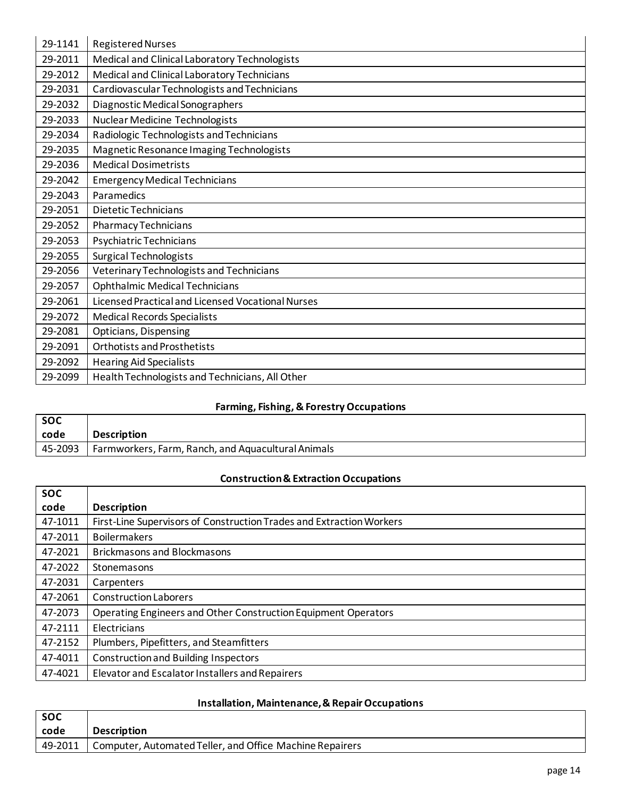| 29-1141 | <b>Registered Nurses</b>                          |
|---------|---------------------------------------------------|
| 29-2011 | Medical and Clinical Laboratory Technologists     |
| 29-2012 | Medical and Clinical Laboratory Technicians       |
| 29-2031 | Cardiovascular Technologists and Technicians      |
| 29-2032 | Diagnostic Medical Sonographers                   |
| 29-2033 | Nuclear Medicine Technologists                    |
| 29-2034 | Radiologic Technologists and Technicians          |
| 29-2035 | Magnetic Resonance Imaging Technologists          |
| 29-2036 | <b>Medical Dosimetrists</b>                       |
| 29-2042 | <b>Emergency Medical Technicians</b>              |
| 29-2043 | Paramedics                                        |
| 29-2051 | <b>Dietetic Technicians</b>                       |
| 29-2052 | Pharmacy Technicians                              |
| 29-2053 | Psychiatric Technicians                           |
| 29-2055 | <b>Surgical Technologists</b>                     |
| 29-2056 | Veterinary Technologists and Technicians          |
| 29-2057 | <b>Ophthalmic Medical Technicians</b>             |
| 29-2061 | Licensed Practical and Licensed Vocational Nurses |
| 29-2072 | <b>Medical Records Specialists</b>                |
| 29-2081 | Opticians, Dispensing                             |
| 29-2091 | <b>Orthotists and Prosthetists</b>                |
| 29-2092 | <b>Hearing Aid Specialists</b>                    |
| 29-2099 | Health Technologists and Technicians, All Other   |

# **Farming, Fishing, & Forestry Occupations**

| l soc   |                                                    |
|---------|----------------------------------------------------|
| code    | <b>Description</b>                                 |
| 45-2093 | Farmworkers, Farm, Ranch, and Aquacultural Animals |

# **Construction & Extraction Occupations**

| <b>SOC</b> |                                                                      |
|------------|----------------------------------------------------------------------|
| code       | <b>Description</b>                                                   |
| 47-1011    | First-Line Supervisors of Construction Trades and Extraction Workers |
| 47-2011    | <b>Boilermakers</b>                                                  |
| 47-2021    | <b>Brickmasons and Blockmasons</b>                                   |
| 47-2022    | Stonemasons                                                          |
| 47-2031    | Carpenters                                                           |
| 47-2061    | <b>Construction Laborers</b>                                         |
| 47-2073    | Operating Engineers and Other Construction Equipment Operators       |
| 47-2111    | Electricians                                                         |
| 47-2152    | Plumbers, Pipefitters, and Steamfitters                              |
| 47-4011    | <b>Construction and Building Inspectors</b>                          |
| 47-4021    | Elevator and Escalator Installers and Repairers                      |

# **Installation, Maintenance, & Repair Occupations**

| <b>SOC</b> |                                                          |
|------------|----------------------------------------------------------|
| code       | <b>Description</b>                                       |
| 49-2011    | Computer, Automated Teller, and Office Machine Repairers |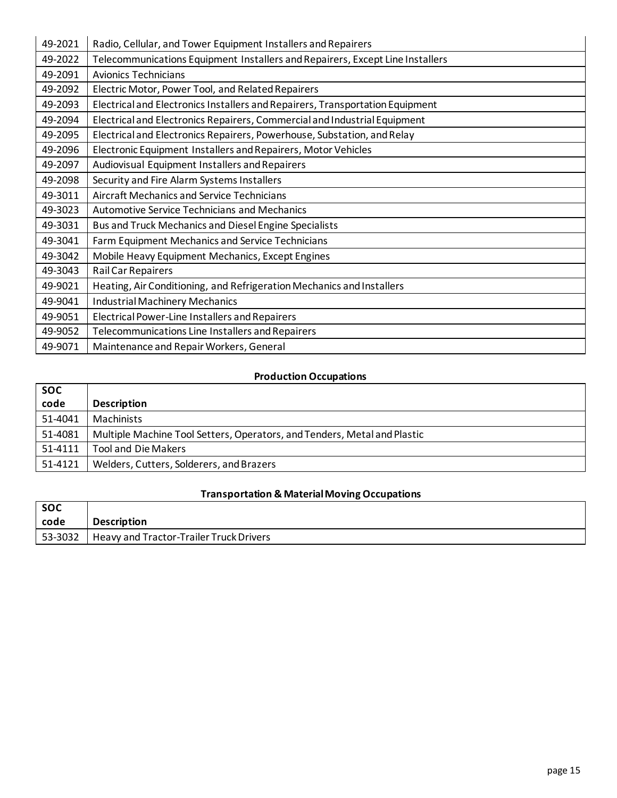| 49-2021 | Radio, Cellular, and Tower Equipment Installers and Repairers                 |
|---------|-------------------------------------------------------------------------------|
| 49-2022 | Telecommunications Equipment Installers and Repairers, Except Line Installers |
| 49-2091 | <b>Avionics Technicians</b>                                                   |
| 49-2092 | Electric Motor, Power Tool, and Related Repairers                             |
| 49-2093 | Electrical and Electronics Installers and Repairers, Transportation Equipment |
| 49-2094 | Electrical and Electronics Repairers, Commercial and Industrial Equipment     |
| 49-2095 | Electrical and Electronics Repairers, Powerhouse, Substation, and Relay       |
| 49-2096 | Electronic Equipment Installers and Repairers, Motor Vehicles                 |
| 49-2097 | Audiovisual Equipment Installers and Repairers                                |
| 49-2098 | Security and Fire Alarm Systems Installers                                    |
| 49-3011 | Aircraft Mechanics and Service Technicians                                    |
| 49-3023 | <b>Automotive Service Technicians and Mechanics</b>                           |
| 49-3031 | Bus and Truck Mechanics and Diesel Engine Specialists                         |
| 49-3041 | Farm Equipment Mechanics and Service Technicians                              |
| 49-3042 | Mobile Heavy Equipment Mechanics, Except Engines                              |
| 49-3043 | <b>Rail Car Repairers</b>                                                     |
| 49-9021 | Heating, Air Conditioning, and Refrigeration Mechanics and Installers         |
| 49-9041 | <b>Industrial Machinery Mechanics</b>                                         |
| 49-9051 | Electrical Power-Line Installers and Repairers                                |
| 49-9052 | Telecommunications Line Installers and Repairers                              |
| 49-9071 | Maintenance and Repair Workers, General                                       |

# **Production Occupations**

| <b>SOC</b> |                                                                          |
|------------|--------------------------------------------------------------------------|
| code       | <b>Description</b>                                                       |
| 51-4041    | Machinists                                                               |
| 51-4081    | Multiple Machine Tool Setters, Operators, and Tenders, Metal and Plastic |
| 51-4111    | <b>Tool and Die Makers</b>                                               |
| 51-4121    | Welders, Cutters, Solderers, and Brazers                                 |

# **Transportation & Material Moving Occupations**

| <b>SOC</b> |                                                      |
|------------|------------------------------------------------------|
| code       | <b>Description</b>                                   |
| 53-3032    | <sup>1</sup> Heavy and Tractor-Trailer Truck Drivers |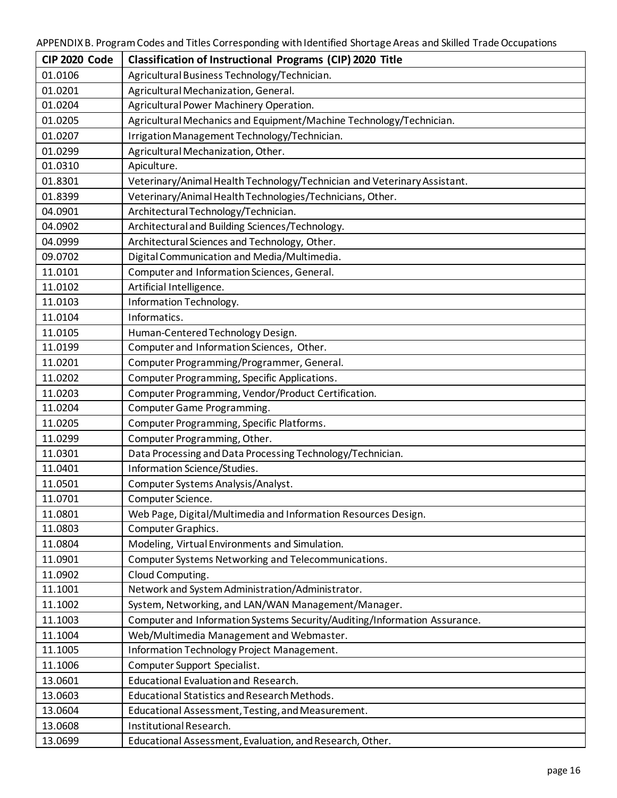| <b>CIP 2020 Code</b> | Classification of Instructional Programs (CIP) 2020 Title                 |
|----------------------|---------------------------------------------------------------------------|
| 01.0106              | Agricultural Business Technology/Technician.                              |
| 01.0201              | Agricultural Mechanization, General.                                      |
| 01.0204              | Agricultural Power Machinery Operation.                                   |
| 01.0205              | Agricultural Mechanics and Equipment/Machine Technology/Technician.       |
| 01.0207              | Irrigation Management Technology/Technician.                              |
| 01.0299              | Agricultural Mechanization, Other.                                        |
| 01.0310              | Apiculture.                                                               |
| 01.8301              | Veterinary/Animal Health Technology/Technician and Veterinary Assistant.  |
| 01.8399              | Veterinary/Animal Health Technologies/Technicians, Other.                 |
| 04.0901              | Architectural Technology/Technician.                                      |
| 04.0902              | Architectural and Building Sciences/Technology.                           |
| 04.0999              | Architectural Sciences and Technology, Other.                             |
| 09.0702              | Digital Communication and Media/Multimedia.                               |
| 11.0101              | Computer and Information Sciences, General.                               |
| 11.0102              | Artificial Intelligence.                                                  |
| 11.0103              | Information Technology.                                                   |
| 11.0104              | Informatics.                                                              |
| 11.0105              | Human-Centered Technology Design.                                         |
| 11.0199              | Computer and Information Sciences, Other.                                 |
| 11.0201              | Computer Programming/Programmer, General.                                 |
| 11.0202              | Computer Programming, Specific Applications.                              |
| 11.0203              | Computer Programming, Vendor/Product Certification.                       |
| 11.0204              | Computer Game Programming.                                                |
| 11.0205              | Computer Programming, Specific Platforms.                                 |
| 11.0299              | Computer Programming, Other.                                              |
| 11.0301              | Data Processing and Data Processing Technology/Technician.                |
| 11.0401              | Information Science/Studies.                                              |
| 11.0501              | Computer Systems Analysis/Analyst.                                        |
| 11.0701              | Computer Science.                                                         |
| 11.0801              | Web Page, Digital/Multimedia and Information Resources Design.            |
| 11.0803              | Computer Graphics.                                                        |
| 11.0804              | Modeling, Virtual Environments and Simulation.                            |
| 11.0901              | Computer Systems Networking and Telecommunications.                       |
| 11.0902              | Cloud Computing.                                                          |
| 11.1001              | Network and System Administration/Administrator.                          |
| 11.1002              | System, Networking, and LAN/WAN Management/Manager.                       |
| 11.1003              | Computer and Information Systems Security/Auditing/Information Assurance. |
| 11.1004              | Web/Multimedia Management and Webmaster.                                  |
| 11.1005              | Information Technology Project Management.                                |
| 11.1006              | Computer Support Specialist.                                              |
| 13.0601              | <b>Educational Evaluation and Research.</b>                               |
| 13.0603              | <b>Educational Statistics and Research Methods.</b>                       |
| 13.0604              | Educational Assessment, Testing, and Measurement.                         |
| 13.0608              | Institutional Research.                                                   |
| 13.0699              | Educational Assessment, Evaluation, and Research, Other.                  |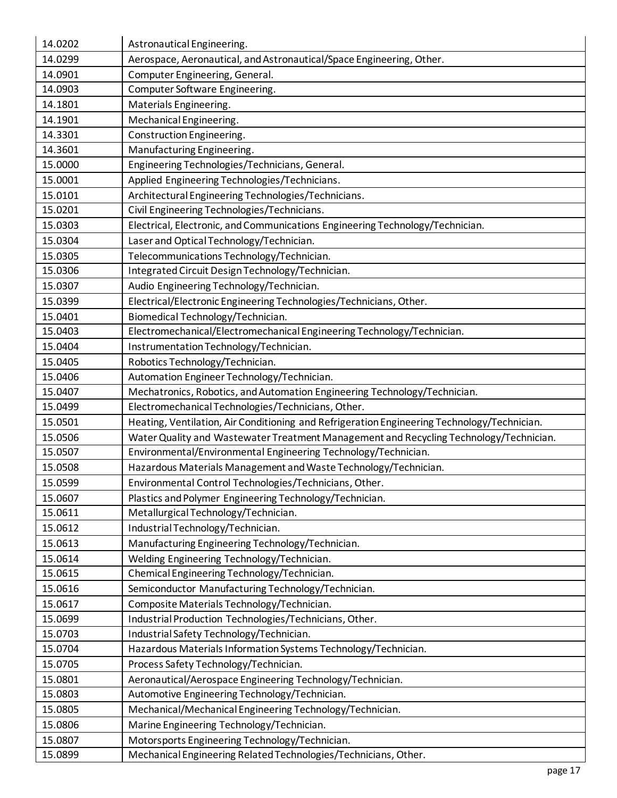| 14.0202 | Astronautical Engineering.                                                                  |
|---------|---------------------------------------------------------------------------------------------|
| 14.0299 | Aerospace, Aeronautical, and Astronautical/Space Engineering, Other.                        |
| 14.0901 | Computer Engineering, General.                                                              |
| 14.0903 | Computer Software Engineering.                                                              |
| 14.1801 | Materials Engineering.                                                                      |
| 14.1901 | Mechanical Engineering.                                                                     |
| 14.3301 | Construction Engineering.                                                                   |
| 14.3601 | Manufacturing Engineering.                                                                  |
| 15.0000 | Engineering Technologies/Technicians, General.                                              |
| 15.0001 | Applied Engineering Technologies/Technicians.                                               |
| 15.0101 | Architectural Engineering Technologies/Technicians.                                         |
| 15.0201 | Civil Engineering Technologies/Technicians.                                                 |
| 15.0303 | Electrical, Electronic, and Communications Engineering Technology/Technician.               |
| 15.0304 | Laser and Optical Technology/Technician.                                                    |
| 15.0305 | Telecommunications Technology/Technician.                                                   |
| 15.0306 | Integrated Circuit Design Technology/Technician.                                            |
| 15.0307 | Audio Engineering Technology/Technician.                                                    |
| 15.0399 | Electrical/Electronic Engineering Technologies/Technicians, Other.                          |
| 15.0401 | Biomedical Technology/Technician.                                                           |
| 15.0403 | Electromechanical/Electromechanical Engineering Technology/Technician.                      |
| 15.0404 | Instrumentation Technology/Technician.                                                      |
| 15.0405 | Robotics Technology/Technician.                                                             |
| 15.0406 | Automation Engineer Technology/Technician.                                                  |
| 15.0407 | Mechatronics, Robotics, and Automation Engineering Technology/Technician.                   |
| 15.0499 | Electromechanical Technologies/Technicians, Other.                                          |
| 15.0501 | Heating, Ventilation, Air Conditioning and Refrigeration Engineering Technology/Technician. |
| 15.0506 | Water Quality and Wastewater Treatment Management and Recycling Technology/Technician.      |
| 15.0507 | Environmental/Environmental Engineering Technology/Technician.                              |
| 15.0508 | Hazardous Materials Management and Waste Technology/Technician.                             |
| 15.0599 | Environmental Control Technologies/Technicians, Other.                                      |
| 15.0607 | Plastics and Polymer Engineering Technology/Technician.                                     |
| 15.0611 | Metallurgical Technology/Technician.                                                        |
| 15.0612 | Industrial Technology/Technician.                                                           |
| 15.0613 | Manufacturing Engineering Technology/Technician.                                            |
| 15.0614 |                                                                                             |
| 15.0615 | Welding Engineering Technology/Technician.                                                  |
|         | Chemical Engineering Technology/Technician.                                                 |
| 15.0616 | Semiconductor Manufacturing Technology/Technician.                                          |
| 15.0617 | Composite Materials Technology/Technician.                                                  |
| 15.0699 | Industrial Production Technologies/Technicians, Other.                                      |
| 15.0703 | Industrial Safety Technology/Technician.                                                    |
| 15.0704 | Hazardous Materials Information Systems Technology/Technician.                              |
| 15.0705 | Process Safety Technology/Technician.                                                       |
| 15.0801 | Aeronautical/Aerospace Engineering Technology/Technician.                                   |
| 15.0803 | Automotive Engineering Technology/Technician.                                               |
| 15.0805 | Mechanical/Mechanical Engineering Technology/Technician.                                    |
| 15.0806 | Marine Engineering Technology/Technician.                                                   |
| 15.0807 | Motorsports Engineering Technology/Technician.                                              |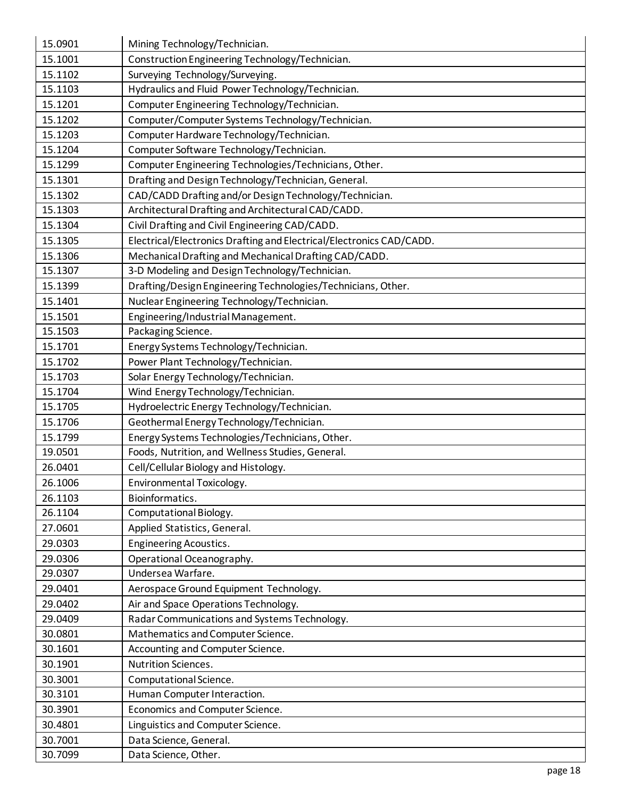| 15.0901 | Mining Technology/Technician.                                        |
|---------|----------------------------------------------------------------------|
| 15.1001 | Construction Engineering Technology/Technician.                      |
| 15.1102 | Surveying Technology/Surveying.                                      |
| 15.1103 | Hydraulics and Fluid Power Technology/Technician.                    |
| 15.1201 | Computer Engineering Technology/Technician.                          |
| 15.1202 | Computer/Computer Systems Technology/Technician.                     |
| 15.1203 | Computer Hardware Technology/Technician.                             |
| 15.1204 | Computer Software Technology/Technician.                             |
| 15.1299 | Computer Engineering Technologies/Technicians, Other.                |
| 15.1301 | Drafting and Design Technology/Technician, General.                  |
| 15.1302 | CAD/CADD Drafting and/or Design Technology/Technician.               |
| 15.1303 | Architectural Drafting and Architectural CAD/CADD.                   |
| 15.1304 | Civil Drafting and Civil Engineering CAD/CADD.                       |
| 15.1305 | Electrical/Electronics Drafting and Electrical/Electronics CAD/CADD. |
| 15.1306 | Mechanical Drafting and Mechanical Drafting CAD/CADD.                |
| 15.1307 | 3-D Modeling and Design Technology/Technician.                       |
| 15.1399 | Drafting/Design Engineering Technologies/Technicians, Other.         |
| 15.1401 | Nuclear Engineering Technology/Technician.                           |
| 15.1501 | Engineering/Industrial Management.                                   |
| 15.1503 | Packaging Science.                                                   |
| 15.1701 | Energy Systems Technology/Technician.                                |
| 15.1702 | Power Plant Technology/Technician.                                   |
| 15.1703 | Solar Energy Technology/Technician.                                  |
| 15.1704 | Wind Energy Technology/Technician.                                   |
| 15.1705 | Hydroelectric Energy Technology/Technician.                          |
| 15.1706 | Geothermal Energy Technology/Technician.                             |
| 15.1799 | Energy Systems Technologies/Technicians, Other.                      |
| 19.0501 | Foods, Nutrition, and Wellness Studies, General.                     |
| 26.0401 | Cell/Cellular Biology and Histology.                                 |
| 26.1006 | Environmental Toxicology.                                            |
| 26.1103 | Bioinformatics.                                                      |
| 26.1104 | Computational Biology.                                               |
| 27.0601 | Applied Statistics, General.                                         |
| 29.0303 | <b>Engineering Acoustics.</b>                                        |
| 29.0306 | Operational Oceanography.                                            |
| 29.0307 | Undersea Warfare.                                                    |
| 29.0401 | Aerospace Ground Equipment Technology.                               |
| 29.0402 | Air and Space Operations Technology.                                 |
| 29.0409 | Radar Communications and Systems Technology.                         |
| 30.0801 | Mathematics and Computer Science.                                    |
| 30.1601 | Accounting and Computer Science.                                     |
| 30.1901 | Nutrition Sciences.                                                  |
| 30.3001 | Computational Science.                                               |
| 30.3101 | Human Computer Interaction.                                          |
| 30.3901 | Economics and Computer Science.                                      |
| 30.4801 | Linguistics and Computer Science.                                    |
| 30.7001 | Data Science, General.                                               |
| 30.7099 | Data Science, Other.                                                 |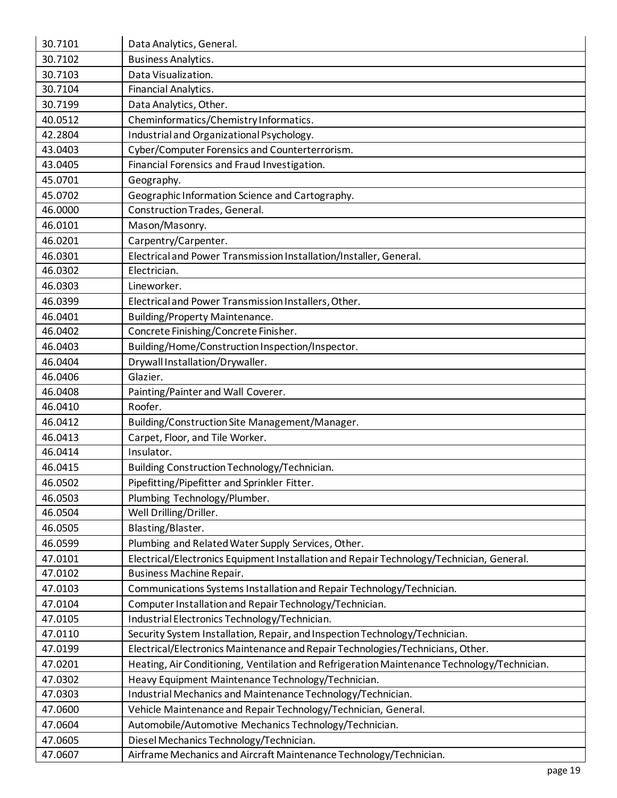| 30.7101 | Data Analytics, General.                                                                    |
|---------|---------------------------------------------------------------------------------------------|
| 30.7102 | <b>Business Analytics.</b>                                                                  |
| 30.7103 | Data Visualization.                                                                         |
| 30.7104 | Financial Analytics.                                                                        |
| 30.7199 | Data Analytics, Other.                                                                      |
| 40.0512 | Cheminformatics/Chemistry Informatics.                                                      |
| 42.2804 | Industrial and Organizational Psychology.                                                   |
| 43.0403 | Cyber/Computer Forensics and Counterterrorism.                                              |
| 43.0405 | Financial Forensics and Fraud Investigation.                                                |
| 45.0701 | Geography.                                                                                  |
| 45.0702 | Geographic Information Science and Cartography.                                             |
| 46.0000 | Construction Trades, General.                                                               |
| 46.0101 | Mason/Masonry.                                                                              |
| 46.0201 | Carpentry/Carpenter.                                                                        |
| 46.0301 | Electrical and Power Transmission Installation/Installer, General.                          |
| 46.0302 | Electrician.                                                                                |
| 46.0303 | Lineworker.                                                                                 |
| 46.0399 | Electrical and Power Transmission Installers, Other.                                        |
| 46.0401 | <b>Building/Property Maintenance.</b>                                                       |
| 46.0402 | Concrete Finishing/Concrete Finisher.                                                       |
| 46.0403 | Building/Home/Construction Inspection/Inspector.                                            |
| 46.0404 | Drywall Installation/Drywaller.                                                             |
| 46.0406 | Glazier.                                                                                    |
| 46.0408 | Painting/Painter and Wall Coverer.                                                          |
| 46.0410 | Roofer.                                                                                     |
| 46.0412 | Building/Construction Site Management/Manager.                                              |
| 46.0413 | Carpet, Floor, and Tile Worker.                                                             |
| 46.0414 | Insulator.                                                                                  |
| 46.0415 | Building Construction Technology/Technician.                                                |
| 46.0502 | Pipefitting/Pipefitter and Sprinkler Fitter.                                                |
| 46.0503 | Plumbing Technology/Plumber.                                                                |
| 46.0504 | Well Drilling/Driller.                                                                      |
| 46.0505 | Blasting/Blaster.                                                                           |
| 46.0599 | Plumbing and Related Water Supply Services, Other.                                          |
| 47.0101 | Electrical/Electronics Equipment Installation and Repair Technology/Technician, General.    |
| 47.0102 | Business Machine Repair.                                                                    |
| 47.0103 | Communications Systems Installation and Repair Technology/Technician.                       |
| 47.0104 | Computer Installation and Repair Technology/Technician.                                     |
| 47.0105 | Industrial Electronics Technology/Technician.                                               |
| 47.0110 | Security System Installation, Repair, and Inspection Technology/Technician.                 |
| 47.0199 | Electrical/Electronics Maintenance and Repair Technologies/Technicians, Other.              |
| 47.0201 | Heating, Air Conditioning, Ventilation and Refrigeration Maintenance Technology/Technician. |
| 47.0302 | Heavy Equipment Maintenance Technology/Technician.                                          |
| 47.0303 | Industrial Mechanics and Maintenance Technology/Technician.                                 |
| 47.0600 | Vehicle Maintenance and Repair Technology/Technician, General.                              |
| 47.0604 | Automobile/Automotive Mechanics Technology/Technician.                                      |
| 47.0605 | Diesel Mechanics Technology/Technician.                                                     |
| 47.0607 | Airframe Mechanics and Aircraft Maintenance Technology/Technician.                          |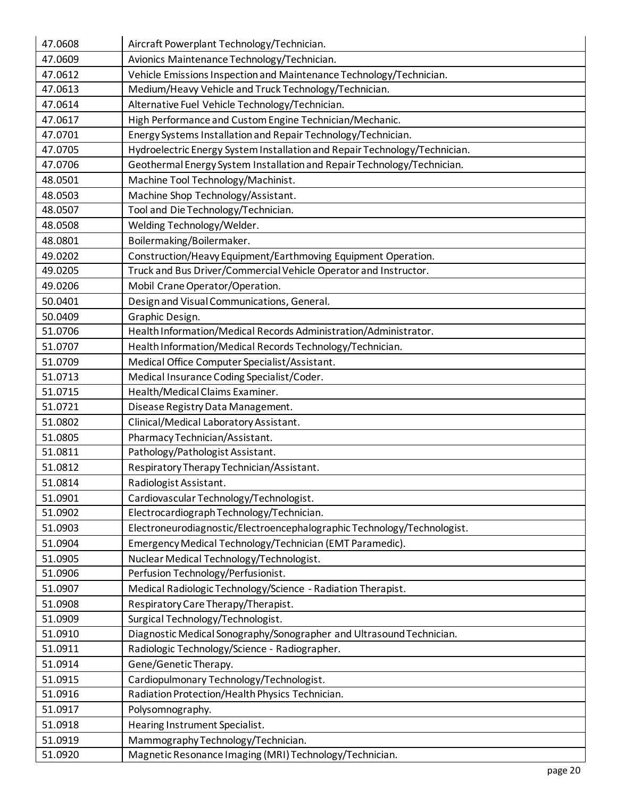| 47.0608 | Aircraft Powerplant Technology/Technician.                                 |
|---------|----------------------------------------------------------------------------|
| 47.0609 | Avionics Maintenance Technology/Technician.                                |
| 47.0612 | Vehicle Emissions Inspection and Maintenance Technology/Technician.        |
| 47.0613 | Medium/Heavy Vehicle and Truck Technology/Technician.                      |
| 47.0614 | Alternative Fuel Vehicle Technology/Technician.                            |
| 47.0617 | High Performance and Custom Engine Technician/Mechanic.                    |
| 47.0701 | Energy Systems Installation and Repair Technology/Technician.              |
| 47.0705 | Hydroelectric Energy System Installation and Repair Technology/Technician. |
| 47.0706 | Geothermal Energy System Installation and Repair Technology/Technician.    |
| 48.0501 | Machine Tool Technology/Machinist.                                         |
| 48.0503 | Machine Shop Technology/Assistant.                                         |
| 48.0507 | Tool and Die Technology/Technician.                                        |
| 48.0508 | Welding Technology/Welder.                                                 |
| 48.0801 | Boilermaking/Boilermaker.                                                  |
| 49.0202 | Construction/Heavy Equipment/Earthmoving Equipment Operation.              |
| 49.0205 | Truck and Bus Driver/Commercial Vehicle Operator and Instructor.           |
| 49.0206 | Mobil Crane Operator/Operation.                                            |
| 50.0401 | Design and Visual Communications, General.                                 |
| 50.0409 | Graphic Design.                                                            |
| 51.0706 | Health Information/Medical Records Administration/Administrator.           |
| 51.0707 | Health Information/Medical Records Technology/Technician.                  |
| 51.0709 | Medical Office Computer Specialist/Assistant.                              |
| 51.0713 | Medical Insurance Coding Specialist/Coder.                                 |
| 51.0715 | Health/Medical Claims Examiner.                                            |
| 51.0721 | Disease Registry Data Management.                                          |
| 51.0802 | Clinical/Medical Laboratory Assistant.                                     |
| 51.0805 | Pharmacy Technician/Assistant.                                             |
| 51.0811 | Pathology/Pathologist Assistant.                                           |
| 51.0812 | Respiratory Therapy Technician/Assistant.                                  |
| 51.0814 | Radiologist Assistant.                                                     |
| 51.0901 | Cardiovascular Technology/Technologist.                                    |
| 51.0902 | Electrocardiograph Technology/Technician.                                  |
| 51.0903 | Electroneurodiagnostic/ElectroencephalographicTechnology/Technologist.     |
| 51.0904 | Emergency Medical Technology/Technician (EMT Paramedic).                   |
| 51.0905 | Nuclear Medical Technology/Technologist.                                   |
| 51.0906 | Perfusion Technology/Perfusionist.                                         |
| 51.0907 | Medical Radiologic Technology/Science - Radiation Therapist.               |
| 51.0908 | Respiratory Care Therapy/Therapist.                                        |
| 51.0909 | Surgical Technology/Technologist.                                          |
| 51.0910 | Diagnostic Medical Sonography/Sonographer and Ultrasound Technician.       |
| 51.0911 | Radiologic Technology/Science - Radiographer.                              |
| 51.0914 | Gene/Genetic Therapy.                                                      |
| 51.0915 | Cardiopulmonary Technology/Technologist.                                   |
| 51.0916 | Radiation Protection/Health Physics Technician.                            |
| 51.0917 | Polysomnography.                                                           |
| 51.0918 | Hearing Instrument Specialist.                                             |
| 51.0919 | Mammography Technology/Technician.                                         |
| 51.0920 | Magnetic Resonance Imaging (MRI) Technology/Technician.                    |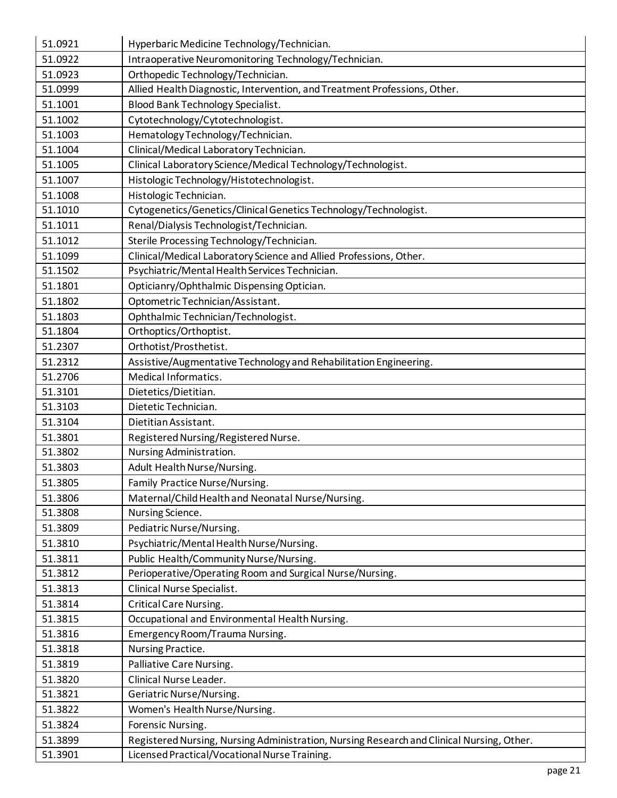| 51.0921 | Hyperbaric Medicine Technology/Technician.                                                |
|---------|-------------------------------------------------------------------------------------------|
| 51.0922 | Intraoperative Neuromonitoring Technology/Technician.                                     |
| 51.0923 | Orthopedic Technology/Technician.                                                         |
| 51.0999 | Allied Health Diagnostic, Intervention, and Treatment Professions, Other.                 |
| 51.1001 | <b>Blood Bank Technology Specialist.</b>                                                  |
| 51.1002 | Cytotechnology/Cytotechnologist.                                                          |
| 51.1003 | Hematology Technology/Technician.                                                         |
| 51.1004 | Clinical/Medical Laboratory Technician.                                                   |
| 51.1005 | Clinical Laboratory Science/Medical Technology/Technologist.                              |
| 51.1007 | Histologic Technology/Histotechnologist.                                                  |
| 51.1008 | Histologic Technician.                                                                    |
| 51.1010 | Cytogenetics/Genetics/Clinical Genetics Technology/Technologist.                          |
| 51.1011 | Renal/Dialysis Technologist/Technician.                                                   |
| 51.1012 | Sterile Processing Technology/Technician.                                                 |
| 51.1099 | Clinical/Medical Laboratory Science and Allied Professions, Other.                        |
| 51.1502 | Psychiatric/Mental Health Services Technician.                                            |
| 51.1801 | Opticianry/Ophthalmic Dispensing Optician.                                                |
| 51.1802 | Optometric Technician/Assistant.                                                          |
| 51.1803 | Ophthalmic Technician/Technologist.                                                       |
| 51.1804 | Orthoptics/Orthoptist.                                                                    |
| 51.2307 | Orthotist/Prosthetist.                                                                    |
| 51.2312 | Assistive/Augmentative Technology and Rehabilitation Engineering.                         |
| 51.2706 | Medical Informatics.                                                                      |
| 51.3101 | Dietetics/Dietitian.                                                                      |
| 51.3103 | Dietetic Technician.                                                                      |
| 51.3104 | Dietitian Assistant.                                                                      |
| 51.3801 | Registered Nursing/Registered Nurse.                                                      |
| 51.3802 |                                                                                           |
|         | Nursing Administration.                                                                   |
| 51.3803 | Adult Health Nurse/Nursing.                                                               |
| 51.3805 | Family Practice Nurse/Nursing.                                                            |
| 51.3806 | Maternal/Child Health and Neonatal Nurse/Nursing.                                         |
| 51.3808 | Nursing Science.                                                                          |
| 51.3809 | Pediatric Nurse/Nursing.                                                                  |
| 51.3810 | Psychiatric/Mental Health Nurse/Nursing.                                                  |
| 51.3811 | Public Health/Community Nurse/Nursing.                                                    |
| 51.3812 | Perioperative/Operating Room and Surgical Nurse/Nursing.                                  |
| 51.3813 | Clinical Nurse Specialist.                                                                |
| 51.3814 | <b>Critical Care Nursing.</b>                                                             |
| 51.3815 | Occupational and Environmental Health Nursing.                                            |
| 51.3816 | Emergency Room/Trauma Nursing.                                                            |
| 51.3818 | Nursing Practice.                                                                         |
| 51.3819 | Palliative Care Nursing.                                                                  |
| 51.3820 | Clinical Nurse Leader.                                                                    |
| 51.3821 | Geriatric Nurse/Nursing.                                                                  |
| 51.3822 | Women's Health Nurse/Nursing.                                                             |
| 51.3824 | Forensic Nursing.                                                                         |
| 51.3899 | Registered Nursing, Nursing Administration, Nursing Research and Clinical Nursing, Other. |